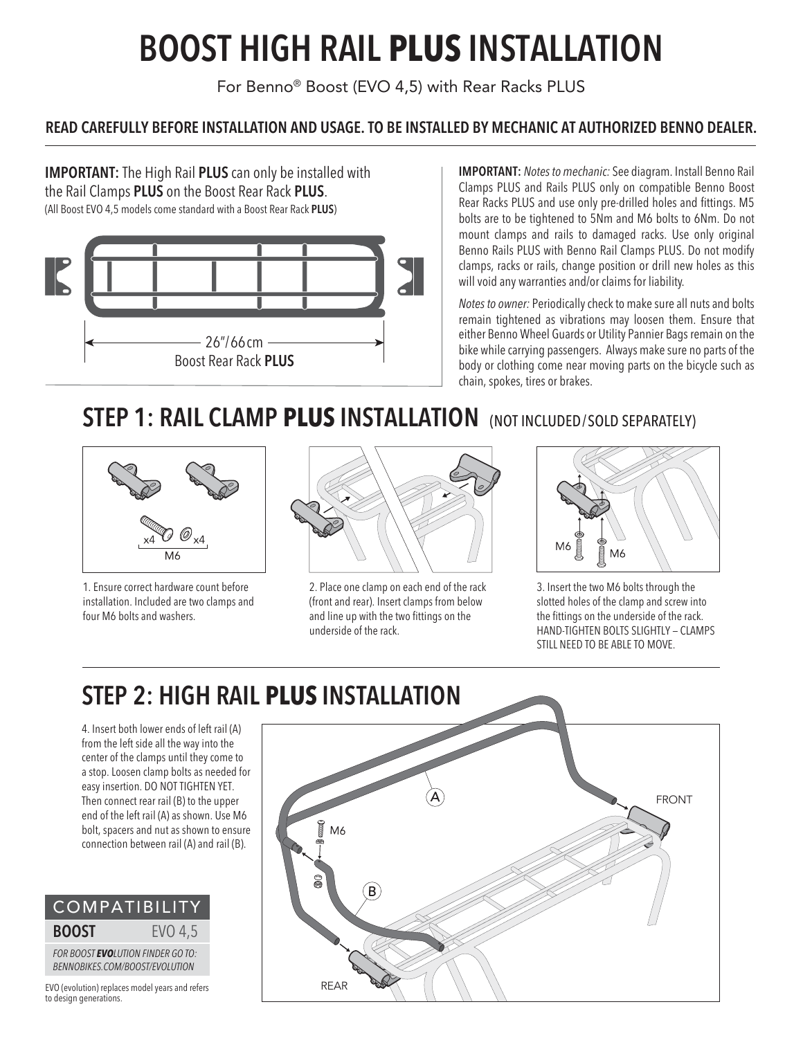# **BOOST HIGH RAIL PLUS INSTALLATION**

For Benno® Boost (EVO 4,5) with Rear Racks PLUS

#### **READ CAREFULLY BEFORE INSTALLATION AND USAGE. TO BE INSTALLED BY MECHANIC AT AUTHORIZED BENNO DEALER.**

**IMPORTANT:** The High Rail **PLUS** can only be installed with the Rail Clamps **PLUS** on the Boost Rear Rack **PLUS**. (All Boost EVO 4,5 models come standard with a Boost Rear Rack **PLUS**)



**IMPORTANT:** *Notes to mechanic:* See diagram. Install Benno Rail Clamps PLUS and Rails PLUS only on compatible Benno Boost Rear Racks PLUS and use only pre-drilled holes and fittings. M5 bolts are to be tightened to 5Nm and M6 bolts to 6Nm. Do not mount clamps and rails to damaged racks. Use only original Benno Rails PLUS with Benno Rail Clamps PLUS. Do not modify clamps, racks or rails, change position or drill new holes as this will void any warranties and/or claims for liability.

*Notes to owner:* Periodically check to make sure all nuts and bolts remain tightened as vibrations may loosen them. Ensure that either Benno Wheel Guards or Utility Pannier Bags remain on the bike while carrying passengers. Always make sure no parts of the body or clothing come near moving parts on the bicycle such as chain, spokes, tires or brakes.

### **STEP 1: RAIL CLAMP PLUS INSTALLATION** (NOT INCLUDED/SOLD SEPARATELY)



1. Ensure correct hardware count before installation. Included are two clamps and four M6 bolts and washers.



2. Place one clamp on each end of the rack (front and rear). Insert clamps from below and line up with the two fittings on the underside of the rack.



3. Insert the two M6 bolts through the slotted holes of the clamp and screw into the fittings on the underside of the rack. HAND-TIGHTEN BOLTS SLIGHTLY — CLAMPS STILL NEED TO BE ABLE TO MOVE.

## **STEP 2: HIGH RAIL PLUS INSTALLATION**

4. Insert both lower ends of left rail (A) from the left side all the way into the center of the clamps until they come to a stop. Loosen clamp bolts as needed for easy insertion. DO NOT TIGHTEN YET. Then connect rear rail (B) to the upper end of the left rail (A) as shown. Use M6 bolt, spacers and nut as shown to ensure connection between rail (A) and rail (B).



EVO (evolution) replaces model years and refers to design generations.